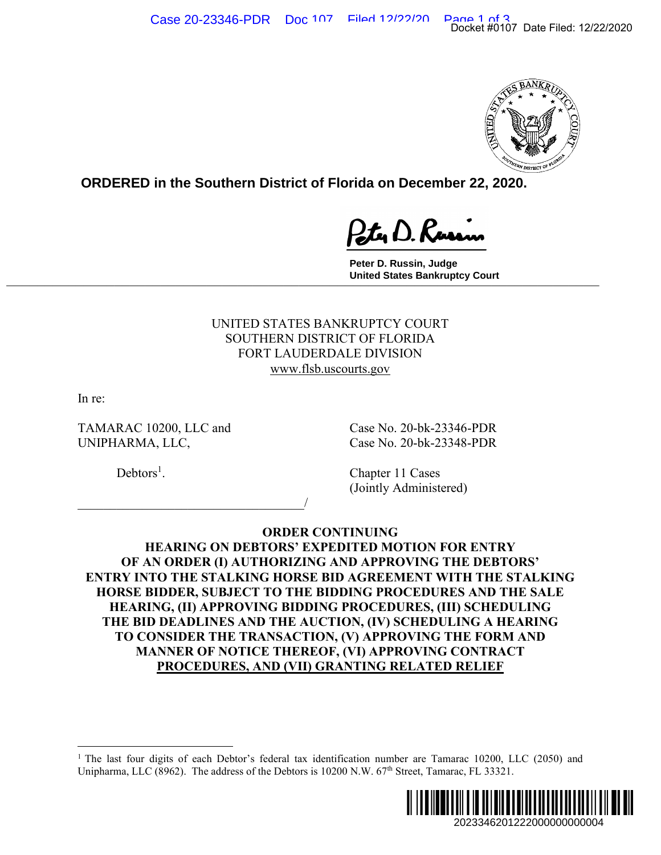

**ORDERED in the Southern District of Florida on December 22, 2020.**

**Peter D. Russin, Judge United States Bankruptcy Court \_\_\_\_\_\_\_\_\_\_\_\_\_\_\_\_\_\_\_\_\_\_\_\_\_\_\_\_\_\_\_\_\_\_\_\_\_\_\_\_\_\_\_\_\_\_\_\_\_\_\_\_\_\_\_\_\_\_\_\_\_\_\_\_\_\_\_\_\_\_\_\_\_\_\_\_\_**

> UNITED STATES BANKRUPTCY COURT SOUTHERN DISTRICT OF FLORIDA FORT LAUDERDALE DIVISION www.flsb.uscourts.gov

In re:

TAMARAC 10200, LLC and Case No. 20-bk-23346-PDR UNIPHARMA, LLC, Case No. 20-bk-23348-PDR

 $\overline{\phantom{a}}$ 

 $Debtors<sup>1</sup>$ .

. Chapter 11 Cases (Jointly Administered)

**ORDER CONTINUING HEARING ON DEBTORS' EXPEDITED MOTION FOR ENTRY OF AN ORDER (I) AUTHORIZING AND APPROVING THE DEBTORS' ENTRY INTO THE STALKING HORSE BID AGREEMENT WITH THE STALKING HORSE BIDDER, SUBJECT TO THE BIDDING PROCEDURES AND THE SALE HEARING, (II) APPROVING BIDDING PROCEDURES, (III) SCHEDULING THE BID DEADLINES AND THE AUCTION, (IV) SCHEDULING A HEARING TO CONSIDER THE TRANSACTION, (V) APPROVING THE FORM AND MANNER OF NOTICE THEREOF, (VI) APPROVING CONTRACT PROCEDURES, AND (VII) GRANTING RELATED RELIEF**  2023346201222000000000004 Docket #0107 Date Filed: 12/22/2020

<sup>&</sup>lt;sup>1</sup> The last four digits of each Debtor's federal tax identification number are Tamarac 10200, LLC (2050) and Unipharma, LLC (8962). The address of the Debtors is 10200 N.W. 67<sup>th</sup> Street, Tamarac, FL 33321.

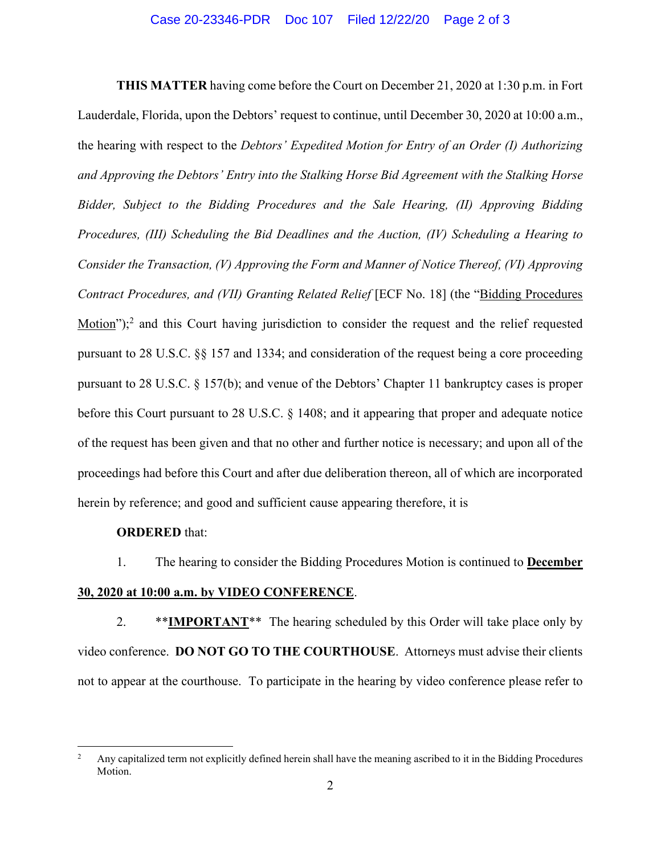**THIS MATTER** having come before the Court on December 21, 2020 at 1:30 p.m. in Fort Lauderdale, Florida, upon the Debtors' request to continue, until December 30, 2020 at 10:00 a.m., the hearing with respect to the *Debtors' Expedited Motion for Entry of an Order (I) Authorizing and Approving the Debtors' Entry into the Stalking Horse Bid Agreement with the Stalking Horse Bidder, Subject to the Bidding Procedures and the Sale Hearing, (II) Approving Bidding Procedures, (III) Scheduling the Bid Deadlines and the Auction, (IV) Scheduling a Hearing to Consider the Transaction, (V) Approving the Form and Manner of Notice Thereof, (VI) Approving Contract Procedures, and (VII) Granting Related Relief* [ECF No. 18] (the "Bidding Procedures  $Motion$ <sup>2</sup>,<sup>2</sup> and this Court having jurisdiction to consider the request and the relief requested</u> pursuant to 28 U.S.C. §§ 157 and 1334; and consideration of the request being a core proceeding pursuant to 28 U.S.C. § 157(b); and venue of the Debtors' Chapter 11 bankruptcy cases is proper before this Court pursuant to 28 U.S.C. § 1408; and it appearing that proper and adequate notice of the request has been given and that no other and further notice is necessary; and upon all of the proceedings had before this Court and after due deliberation thereon, all of which are incorporated herein by reference; and good and sufficient cause appearing therefore, it is

## **ORDERED** that:

1. The hearing to consider the Bidding Procedures Motion is continued to **December 30, 2020 at 10:00 a.m. by VIDEO CONFERENCE**.

2. \*\*IMPORTANT<sup>\*\*</sup> The hearing scheduled by this Order will take place only by video conference. **DO NOT GO TO THE COURTHOUSE**. Attorneys must advise their clients not to appear at the courthouse. To participate in the hearing by video conference please refer to

<sup>&</sup>lt;sup>2</sup> Any capitalized term not explicitly defined herein shall have the meaning ascribed to it in the Bidding Procedures Motion.